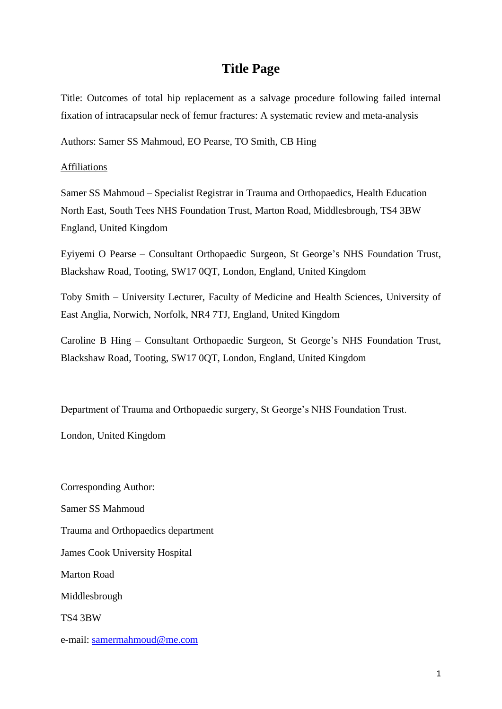# **Title Page**

Title: Outcomes of total hip replacement as a salvage procedure following failed internal fixation of intracapsular neck of femur fractures: A systematic review and meta-analysis

Authors: Samer SS Mahmoud, EO Pearse, TO Smith, CB Hing

#### Affiliations

Samer SS Mahmoud – Specialist Registrar in Trauma and Orthopaedics, Health Education North East, South Tees NHS Foundation Trust, Marton Road, Middlesbrough, TS4 3BW England, United Kingdom

Eyiyemi O Pearse – Consultant Orthopaedic Surgeon, St George's NHS Foundation Trust, Blackshaw Road, Tooting, SW17 0QT, London, England, United Kingdom

Toby Smith – University Lecturer, Faculty of Medicine and Health Sciences, University of East Anglia, Norwich, Norfolk, NR4 7TJ, England, United Kingdom

Caroline B Hing – Consultant Orthopaedic Surgeon, St George's NHS Foundation Trust, Blackshaw Road, Tooting, SW17 0QT, London, England, United Kingdom

Department of Trauma and Orthopaedic surgery, St George's NHS Foundation Trust.

London, United Kingdom

Corresponding Author: Samer SS Mahmoud Trauma and Orthopaedics department James Cook University Hospital Marton Road Middlesbrough TS4 3BW e-mail: [samermahmoud@me.com](mailto:samermahmoud@me.com)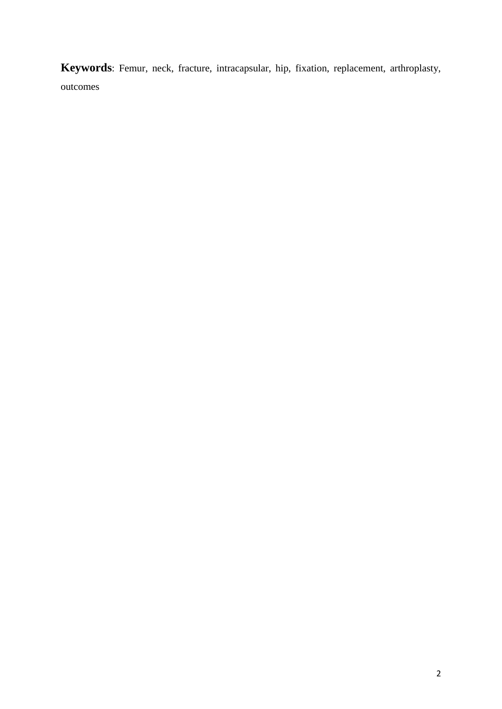**Keywords**: Femur, neck, fracture, intracapsular, hip, fixation, replacement, arthroplasty, outcomes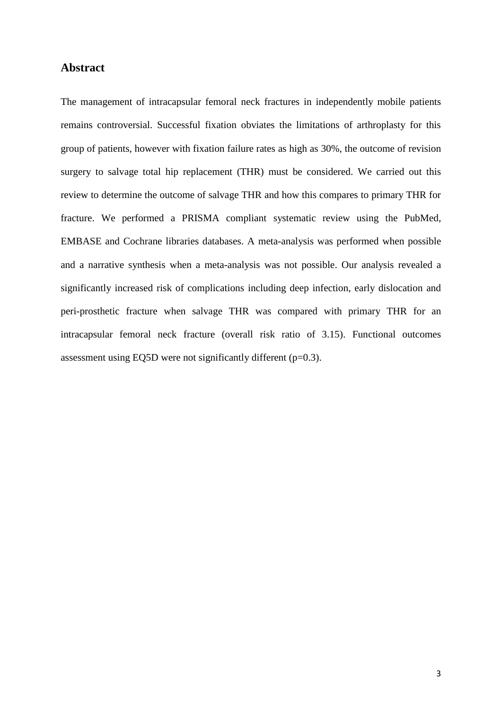### **Abstract**

The management of intracapsular femoral neck fractures in independently mobile patients remains controversial. Successful fixation obviates the limitations of arthroplasty for this group of patients, however with fixation failure rates as high as 30%, the outcome of revision surgery to salvage total hip replacement (THR) must be considered. We carried out this review to determine the outcome of salvage THR and how this compares to primary THR for fracture. We performed a PRISMA compliant systematic review using the PubMed, EMBASE and Cochrane libraries databases. A meta-analysis was performed when possible and a narrative synthesis when a meta-analysis was not possible. Our analysis revealed a significantly increased risk of complications including deep infection, early dislocation and peri-prosthetic fracture when salvage THR was compared with primary THR for an intracapsular femoral neck fracture (overall risk ratio of 3.15). Functional outcomes assessment using EQ5D were not significantly different (p=0.3).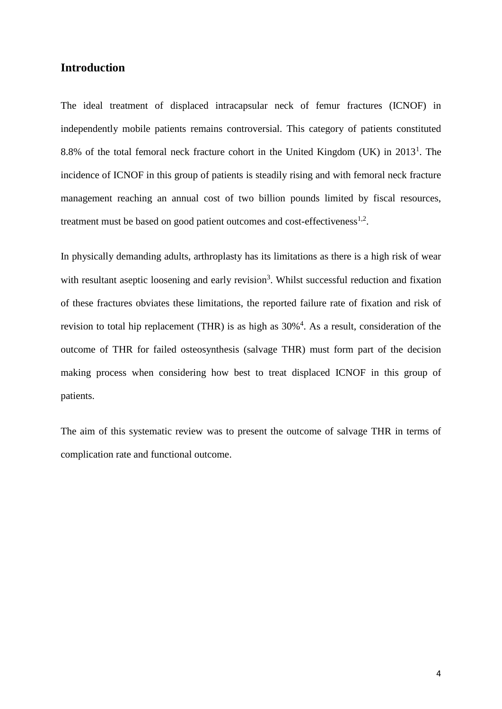## **Introduction**

The ideal treatment of displaced intracapsular neck of femur fractures (ICNOF) in independently mobile patients remains controversial. This category of patients constituted 8.8% of the total femoral neck fracture cohort in the United Kingdom (UK) in  $2013<sup>1</sup>$ . The incidence of ICNOF in this group of patients is steadily rising and with femoral neck fracture management reaching an annual cost of two billion pounds limited by fiscal resources, treatment must be based on good patient outcomes and cost-effectiveness $^{1,2}$ .

In physically demanding adults, arthroplasty has its limitations as there is a high risk of wear with resultant aseptic loosening and early revision<sup>3</sup>. Whilst successful reduction and fixation of these fractures obviates these limitations, the reported failure rate of fixation and risk of revision to total hip replacement (THR) is as high as  $30\%$ <sup>4</sup>. As a result, consideration of the outcome of THR for failed osteosynthesis (salvage THR) must form part of the decision making process when considering how best to treat displaced ICNOF in this group of patients.

The aim of this systematic review was to present the outcome of salvage THR in terms of complication rate and functional outcome.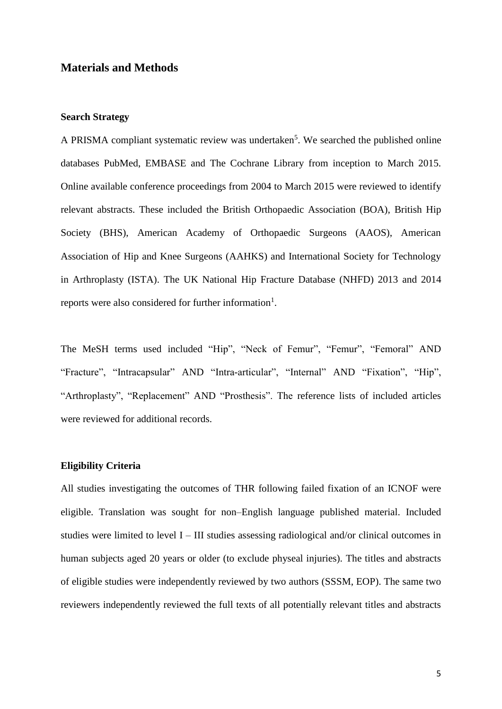## **Materials and Methods**

### **Search Strategy**

A PRISMA compliant systematic review was undertaken<sup>5</sup>. We searched the published online databases PubMed, EMBASE and The Cochrane Library from inception to March 2015. Online available conference proceedings from 2004 to March 2015 were reviewed to identify relevant abstracts. These included the British Orthopaedic Association (BOA), British Hip Society (BHS), American Academy of Orthopaedic Surgeons (AAOS), American Association of Hip and Knee Surgeons (AAHKS) and International Society for Technology in Arthroplasty (ISTA). The UK National Hip Fracture Database (NHFD) 2013 and 2014 reports were also considered for further information<sup>1</sup>.

The MeSH terms used included "Hip", "Neck of Femur", "Femur", "Femoral" AND "Fracture", "Intracapsular" AND "Intra-articular", "Internal" AND "Fixation", "Hip", "Arthroplasty", "Replacement" AND "Prosthesis". The reference lists of included articles were reviewed for additional records.

#### **Eligibility Criteria**

All studies investigating the outcomes of THR following failed fixation of an ICNOF were eligible. Translation was sought for non–English language published material. Included studies were limited to level I – III studies assessing radiological and/or clinical outcomes in human subjects aged 20 years or older (to exclude physeal injuries). The titles and abstracts of eligible studies were independently reviewed by two authors (SSSM, EOP). The same two reviewers independently reviewed the full texts of all potentially relevant titles and abstracts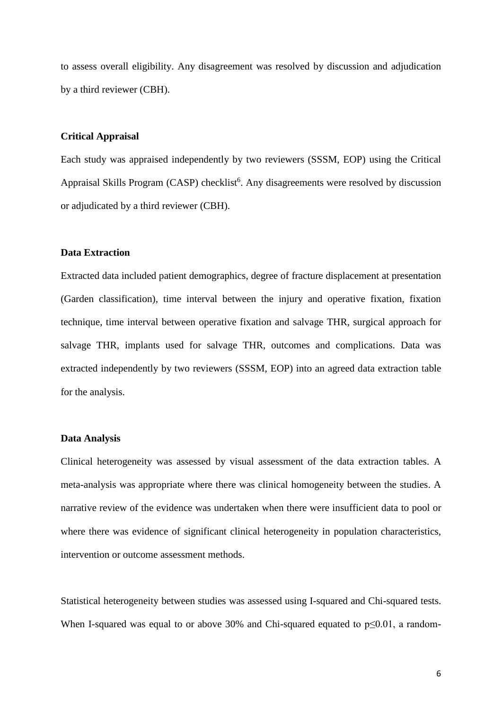to assess overall eligibility. Any disagreement was resolved by discussion and adjudication by a third reviewer (CBH).

#### **Critical Appraisal**

Each study was appraised independently by two reviewers (SSSM, EOP) using the Critical Appraisal Skills Program (CASP) checklist<sup>6</sup>. Any disagreements were resolved by discussion or adjudicated by a third reviewer (CBH).

#### **Data Extraction**

Extracted data included patient demographics, degree of fracture displacement at presentation (Garden classification), time interval between the injury and operative fixation, fixation technique, time interval between operative fixation and salvage THR, surgical approach for salvage THR, implants used for salvage THR, outcomes and complications. Data was extracted independently by two reviewers (SSSM, EOP) into an agreed data extraction table for the analysis.

#### **Data Analysis**

Clinical heterogeneity was assessed by visual assessment of the data extraction tables. A meta-analysis was appropriate where there was clinical homogeneity between the studies. A narrative review of the evidence was undertaken when there were insufficient data to pool or where there was evidence of significant clinical heterogeneity in population characteristics, intervention or outcome assessment methods.

Statistical heterogeneity between studies was assessed using I-squared and Chi-squared tests. When I-squared was equal to or above 30% and Chi-squared equated to p≤0.01, a random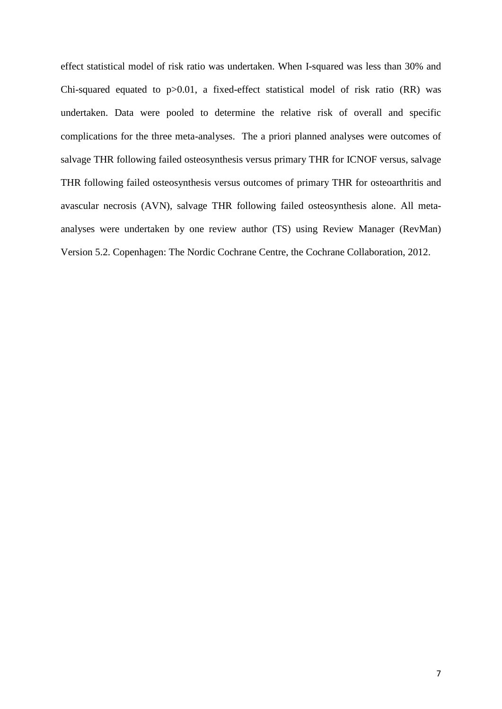effect statistical model of risk ratio was undertaken. When I-squared was less than 30% and Chi-squared equated to  $p > 0.01$ , a fixed-effect statistical model of risk ratio (RR) was undertaken. Data were pooled to determine the relative risk of overall and specific complications for the three meta-analyses. The a priori planned analyses were outcomes of salvage THR following failed osteosynthesis versus primary THR for ICNOF versus, salvage THR following failed osteosynthesis versus outcomes of primary THR for osteoarthritis and avascular necrosis (AVN), salvage THR following failed osteosynthesis alone. All metaanalyses were undertaken by one review author (TS) using Review Manager (RevMan) Version 5.2. Copenhagen: The Nordic Cochrane Centre, the Cochrane Collaboration, 2012.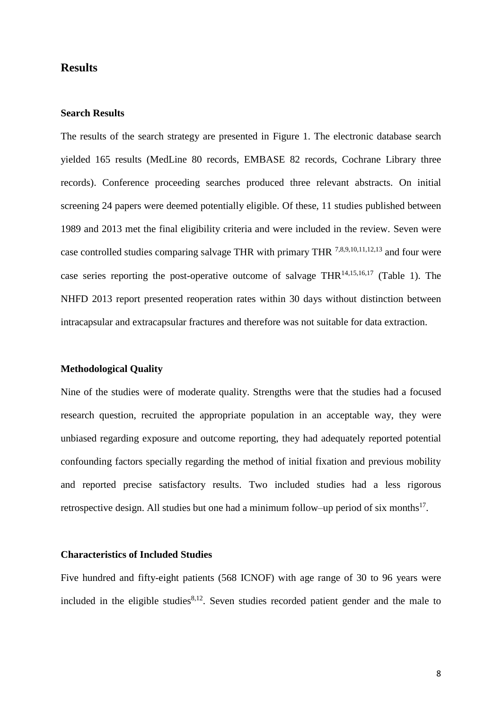## **Results**

#### **Search Results**

The results of the search strategy are presented in Figure 1. The electronic database search yielded 165 results (MedLine 80 records, EMBASE 82 records, Cochrane Library three records). Conference proceeding searches produced three relevant abstracts. On initial screening 24 papers were deemed potentially eligible. Of these, 11 studies published between 1989 and 2013 met the final eligibility criteria and were included in the review. Seven were case controlled studies comparing salvage THR with primary THR 7,8,9,10,11,12,13 and four were case series reporting the post-operative outcome of salvage THR<sup>14,15,16,17</sup> (Table 1). The NHFD 2013 report presented reoperation rates within 30 days without distinction between intracapsular and extracapsular fractures and therefore was not suitable for data extraction.

#### **Methodological Quality**

Nine of the studies were of moderate quality. Strengths were that the studies had a focused research question, recruited the appropriate population in an acceptable way, they were unbiased regarding exposure and outcome reporting, they had adequately reported potential confounding factors specially regarding the method of initial fixation and previous mobility and reported precise satisfactory results. Two included studies had a less rigorous retrospective design. All studies but one had a minimum follow–up period of six months $17$ .

#### **Characteristics of Included Studies**

Five hundred and fifty-eight patients (568 ICNOF) with age range of 30 to 96 years were included in the eligible studies $8,12$ . Seven studies recorded patient gender and the male to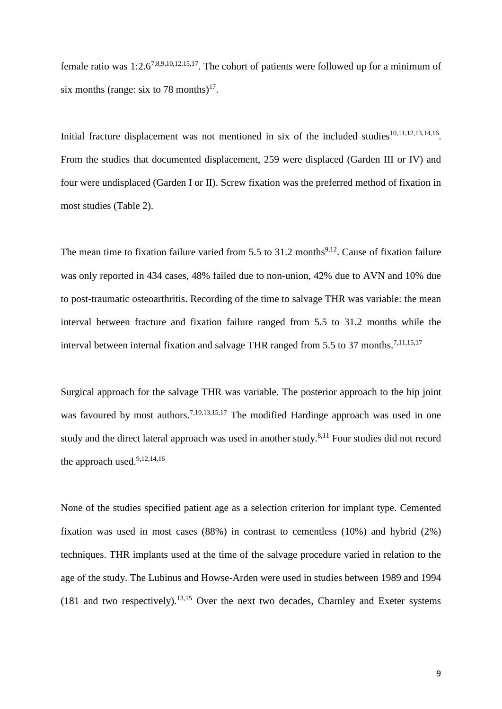female ratio was  $1:2.6^{7,8,9,10,12,15,17}$ . The cohort of patients were followed up for a minimum of six months (range: six to 78 months)<sup>17</sup>.

Initial fracture displacement was not mentioned in six of the included studies $10,11,12,13,14,16$ . From the studies that documented displacement, 259 were displaced (Garden III or IV) and four were undisplaced (Garden I or II). Screw fixation was the preferred method of fixation in most studies (Table 2).

The mean time to fixation failure varied from  $5.5$  to  $31.2$  months<sup>9,12</sup>. Cause of fixation failure was only reported in 434 cases, 48% failed due to non-union, 42% due to AVN and 10% due to post-traumatic osteoarthritis. Recording of the time to salvage THR was variable: the mean interval between fracture and fixation failure ranged from 5.5 to 31.2 months while the interval between internal fixation and salvage THR ranged from 5.5 to 37 months.<sup>7,11,15,17</sup>

Surgical approach for the salvage THR was variable. The posterior approach to the hip joint was favoured by most authors.<sup>7,10,13,15,17</sup> The modified Hardinge approach was used in one study and the direct lateral approach was used in another study.<sup>8,11</sup> Four studies did not record the approach used. 9,12,14,16

None of the studies specified patient age as a selection criterion for implant type. Cemented fixation was used in most cases (88%) in contrast to cementless (10%) and hybrid (2%) techniques. THR implants used at the time of the salvage procedure varied in relation to the age of the study. The Lubinus and Howse-Arden were used in studies between 1989 and 1994  $(181$  and two respectively).<sup>13,15</sup> Over the next two decades, Charnley and Exeter systems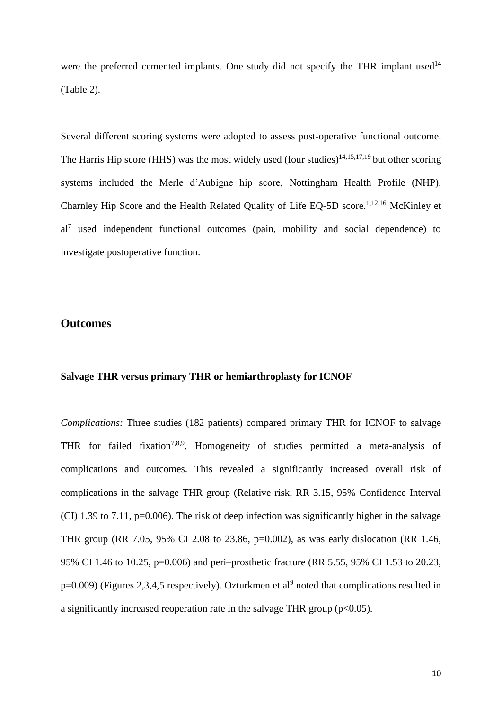were the preferred cemented implants. One study did not specify the THR implant used<sup>14</sup> (Table 2).

Several different scoring systems were adopted to assess post-operative functional outcome. The Harris Hip score (HHS) was the most widely used (four studies)<sup>14,15,17,19</sup> but other scoring systems included the Merle d'Aubigne hip score, Nottingham Health Profile (NHP), Charnley Hip Score and the Health Related Quality of Life EQ-5D score. 1,12,16 McKinley et al<sup>7</sup> used independent functional outcomes (pain, mobility and social dependence) to investigate postoperative function.

## **Outcomes**

## **Salvage THR versus primary THR or hemiarthroplasty for ICNOF**

*Complications:* Three studies (182 patients) compared primary THR for ICNOF to salvage THR for failed fixation<sup>7,8,9</sup>. Homogeneity of studies permitted a meta-analysis of complications and outcomes. This revealed a significantly increased overall risk of complications in the salvage THR group (Relative risk, RR 3.15, 95% Confidence Interval (CI) 1.39 to 7.11, p=0.006). The risk of deep infection was significantly higher in the salvage THR group (RR 7.05, 95% CI 2.08 to 23.86, p=0.002), as was early dislocation (RR 1.46, 95% CI 1.46 to 10.25, p=0.006) and peri–prosthetic fracture (RR 5.55, 95% CI 1.53 to 20.23,  $p=0.009$ ) (Figures 2,3,4,5 respectively). Ozturkmen et al<sup>9</sup> noted that complications resulted in a significantly increased reoperation rate in the salvage THR group  $(p<0.05)$ .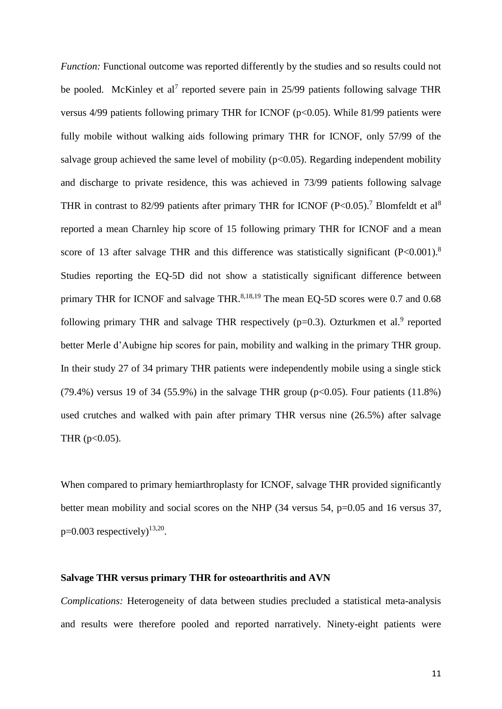*Function:* Functional outcome was reported differently by the studies and so results could not be pooled. McKinley et al<sup>7</sup> reported severe pain in 25/99 patients following salvage THR versus  $4/99$  patients following primary THR for ICNOF ( $p<0.05$ ). While 81/99 patients were fully mobile without walking aids following primary THR for ICNOF, only 57/99 of the salvage group achieved the same level of mobility  $(p<0.05)$ . Regarding independent mobility and discharge to private residence, this was achieved in 73/99 patients following salvage THR in contrast to 82/99 patients after primary THR for ICNOF (P<0.05).<sup>7</sup> Blomfeldt et al<sup>8</sup> reported a mean Charnley hip score of 15 following primary THR for ICNOF and a mean score of 13 after salvage THR and this difference was statistically significant (P<0.001).<sup>8</sup> Studies reporting the EQ-5D did not show a statistically significant difference between primary THR for ICNOF and salvage THR.<sup>8,18,19</sup> The mean EQ-5D scores were 0.7 and 0.68 following primary THR and salvage THR respectively ( $p=0.3$ ). Ozturkmen et al.<sup>9</sup> reported better Merle d'Aubigne hip scores for pain, mobility and walking in the primary THR group. In their study 27 of 34 primary THR patients were independently mobile using a single stick (79.4%) versus 19 of 34 (55.9%) in the salvage THR group ( $p<0.05$ ). Four patients (11.8%) used crutches and walked with pain after primary THR versus nine (26.5%) after salvage THR  $(p<0.05)$ .

When compared to primary hemiarthroplasty for ICNOF, salvage THR provided significantly better mean mobility and social scores on the NHP (34 versus 54, p=0.05 and 16 versus 37,  $p=0.003$  respectively)<sup>13,20</sup>.

#### **Salvage THR versus primary THR for osteoarthritis and AVN**

*Complications:* Heterogeneity of data between studies precluded a statistical meta-analysis and results were therefore pooled and reported narratively. Ninety-eight patients were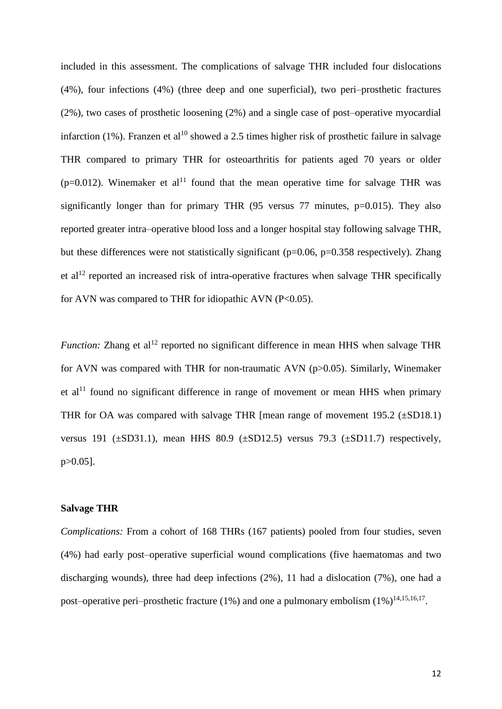included in this assessment. The complications of salvage THR included four dislocations (4%), four infections (4%) (three deep and one superficial), two peri–prosthetic fractures (2%), two cases of prosthetic loosening (2%) and a single case of post–operative myocardial infarction (1%). Franzen et al<sup>10</sup> showed a 2.5 times higher risk of prosthetic failure in salvage THR compared to primary THR for osteoarthritis for patients aged 70 years or older ( $p=0.012$ ). Winemaker et al<sup>11</sup> found that the mean operative time for salvage THR was significantly longer than for primary THR  $(95 \text{ versus } 77 \text{ minutes}, \text{p=0.015})$ . They also reported greater intra–operative blood loss and a longer hospital stay following salvage THR, but these differences were not statistically significant (p=0.06, p=0.358 respectively). Zhang et al<sup>12</sup> reported an increased risk of intra-operative fractures when salvage THR specifically for AVN was compared to THR for idiopathic AVN (P<0.05).

*Function:* Zhang et al<sup>12</sup> reported no significant difference in mean HHS when salvage THR for AVN was compared with THR for non-traumatic AVN (p>0.05). Similarly, Winemaker et al<sup>11</sup> found no significant difference in range of movement or mean HHS when primary THR for OA was compared with salvage THR [mean range of movement 195.2 (±SD18.1) versus 191 ( $\pm$ SD31.1), mean HHS 80.9 ( $\pm$ SD12.5) versus 79.3 ( $\pm$ SD11.7) respectively, p>0.05].

#### **Salvage THR**

*Complications:* From a cohort of 168 THRs (167 patients) pooled from four studies, seven (4%) had early post–operative superficial wound complications (five haematomas and two discharging wounds), three had deep infections (2%), 11 had a dislocation (7%), one had a post–operative peri–prosthetic fracture (1%) and one a pulmonary embolism  $(1\%)^{14,15,16,17}$ .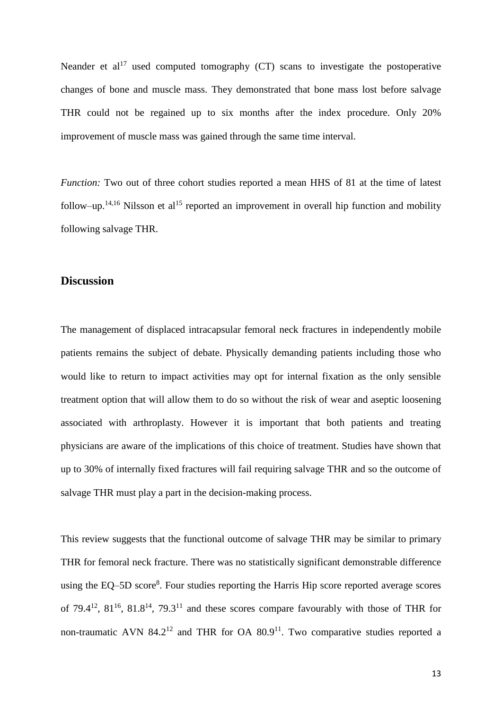Neander et  $al^{17}$  used computed tomography (CT) scans to investigate the postoperative changes of bone and muscle mass. They demonstrated that bone mass lost before salvage THR could not be regained up to six months after the index procedure. Only 20% improvement of muscle mass was gained through the same time interval.

*Function:* Two out of three cohort studies reported a mean HHS of 81 at the time of latest follow–up.<sup>14,16</sup> Nilsson et al<sup>15</sup> reported an improvement in overall hip function and mobility following salvage THR.

## **Discussion**

The management of displaced intracapsular femoral neck fractures in independently mobile patients remains the subject of debate. Physically demanding patients including those who would like to return to impact activities may opt for internal fixation as the only sensible treatment option that will allow them to do so without the risk of wear and aseptic loosening associated with arthroplasty. However it is important that both patients and treating physicians are aware of the implications of this choice of treatment. Studies have shown that up to 30% of internally fixed fractures will fail requiring salvage THR and so the outcome of salvage THR must play a part in the decision-making process.

This review suggests that the functional outcome of salvage THR may be similar to primary THR for femoral neck fracture. There was no statistically significant demonstrable difference using the EQ-5D score<sup>8</sup>. Four studies reporting the Harris Hip score reported average scores of 79.4 $^{12}$ , 81 $^{16}$ , 81.8 $^{14}$ , 79.3 $^{11}$  and these scores compare favourably with those of THR for non-traumatic AVN 84.2<sup>12</sup> and THR for OA  $80.9<sup>11</sup>$ . Two comparative studies reported a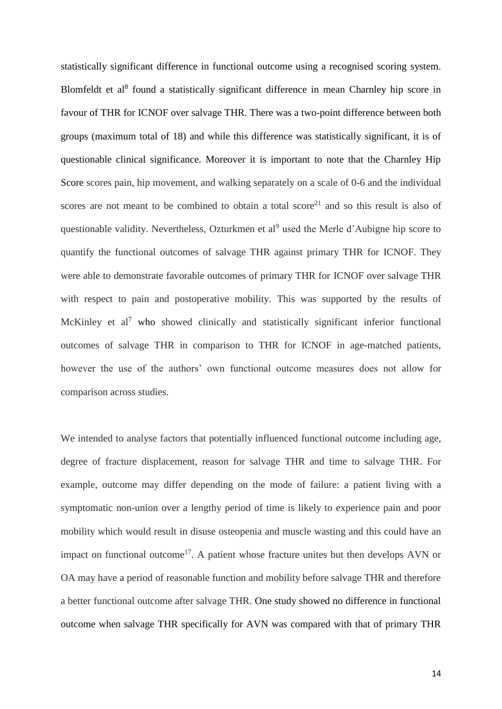statistically significant difference in functional outcome using a recognised scoring system. Blomfeldt et al<sup>8</sup> found a statistically significant difference in mean Charnley hip score in favour of THR for ICNOF over salvage THR. There was a two-point difference between both groups (maximum total of 18) and while this difference was statistically significant, it is of questionable clinical significance. Moreover it is important to note that the Charnley Hip Score scores pain, hip movement, and walking separately on a scale of 0-6 and the individual scores are not meant to be combined to obtain a total score<sup>21</sup> and so this result is also of questionable validity. Nevertheless, Ozturkmen et al<sup>9</sup> used the Merle d'Aubigne hip score to quantify the functional outcomes of salvage THR against primary THR for ICNOF. They were able to demonstrate favorable outcomes of primary THR for ICNOF over salvage THR with respect to pain and postoperative mobility. This was supported by the results of McKinley et al<sup>7</sup> who showed clinically and statistically significant inferior functional outcomes of salvage THR in comparison to THR for ICNOF in age-matched patients, however the use of the authors' own functional outcome measures does not allow for comparison across studies.

We intended to analyse factors that potentially influenced functional outcome including age, degree of fracture displacement, reason for salvage THR and time to salvage THR. For example, outcome may differ depending on the mode of failure: a patient living with a symptomatic non-union over a lengthy period of time is likely to experience pain and poor mobility which would result in disuse osteopenia and muscle wasting and this could have an impact on functional outcome<sup>17</sup>. A patient whose fracture unites but then develops AVN or OA may have a period of reasonable function and mobility before salvage THR and therefore a better functional outcome after salvage THR. One study showed no difference in functional outcome when salvage THR specifically for AVN was compared with that of primary THR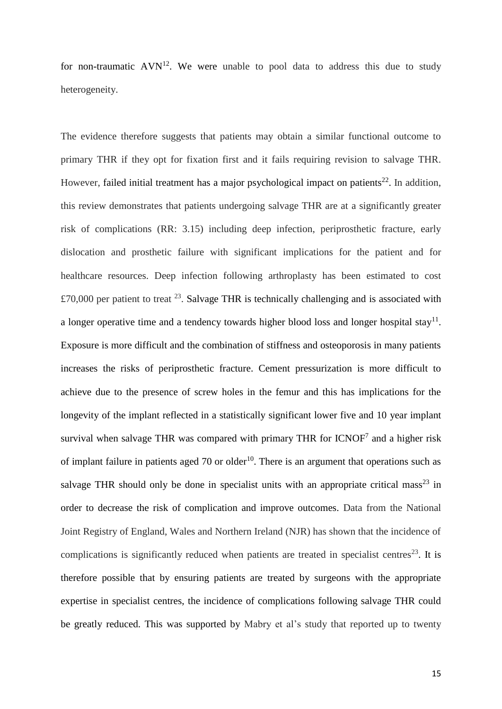for non-traumatic  $AVN<sup>12</sup>$ . We were unable to pool data to address this due to study heterogeneity.

The evidence therefore suggests that patients may obtain a similar functional outcome to primary THR if they opt for fixation first and it fails requiring revision to salvage THR. However, failed initial treatment has a major psychological impact on patients<sup>22</sup>. In addition, this review demonstrates that patients undergoing salvage THR are at a significantly greater risk of complications (RR: 3.15) including deep infection, periprosthetic fracture, early dislocation and prosthetic failure with significant implications for the patient and for healthcare resources. Deep infection following arthroplasty has been estimated to cost £70,000 per patient to treat  $^{23}$ . Salvage THR is technically challenging and is associated with a longer operative time and a tendency towards higher blood loss and longer hospital stay<sup>11</sup>. Exposure is more difficult and the combination of stiffness and osteoporosis in many patients increases the risks of periprosthetic fracture. Cement pressurization is more difficult to achieve due to the presence of screw holes in the femur and this has implications for the longevity of the implant reflected in a statistically significant lower five and 10 year implant survival when salvage THR was compared with primary THR for  $ICNOF<sup>7</sup>$  and a higher risk of implant failure in patients aged  $70$  or older<sup>10</sup>. There is an argument that operations such as salvage THR should only be done in specialist units with an appropriate critical mass<sup>23</sup> in order to decrease the risk of complication and improve outcomes. Data from the National Joint Registry of England, Wales and Northern Ireland (NJR) has shown that the incidence of complications is significantly reduced when patients are treated in specialist centres $^{23}$ . It is therefore possible that by ensuring patients are treated by surgeons with the appropriate expertise in specialist centres, the incidence of complications following salvage THR could be greatly reduced. This was supported by Mabry et al's study that reported up to twenty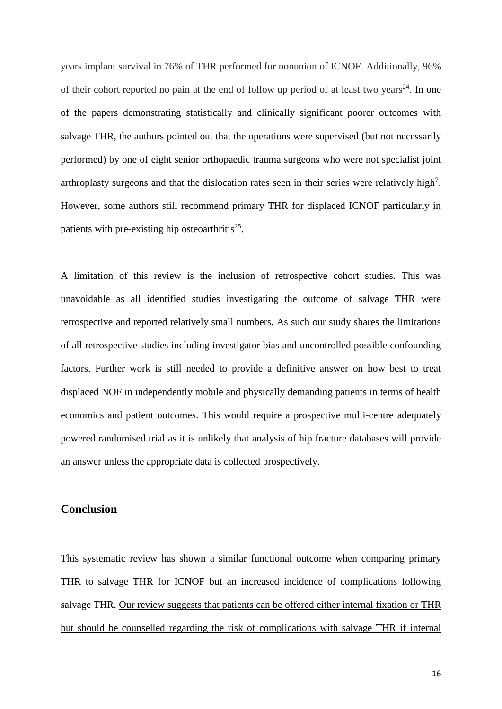years implant survival in 76% of THR performed for nonunion of ICNOF. Additionally, 96% of their cohort reported no pain at the end of follow up period of at least two years<sup>24</sup>. In one of the papers demonstrating statistically and clinically significant poorer outcomes with salvage THR, the authors pointed out that the operations were supervised (but not necessarily performed) by one of eight senior orthopaedic trauma surgeons who were not specialist joint arthroplasty surgeons and that the dislocation rates seen in their series were relatively high<sup>7</sup>. However, some authors still recommend primary THR for displaced ICNOF particularly in patients with pre-existing hip osteoarthritis $^{25}$ .

A limitation of this review is the inclusion of retrospective cohort studies. This was unavoidable as all identified studies investigating the outcome of salvage THR were retrospective and reported relatively small numbers. As such our study shares the limitations of all retrospective studies including investigator bias and uncontrolled possible confounding factors. Further work is still needed to provide a definitive answer on how best to treat displaced NOF in independently mobile and physically demanding patients in terms of health economics and patient outcomes. This would require a prospective multi-centre adequately powered randomised trial as it is unlikely that analysis of hip fracture databases will provide an answer unless the appropriate data is collected prospectively.

## **Conclusion**

This systematic review has shown a similar functional outcome when comparing primary THR to salvage THR for ICNOF but an increased incidence of complications following salvage THR. Our review suggests that patients can be offered either internal fixation or THR but should be counselled regarding the risk of complications with salvage THR if internal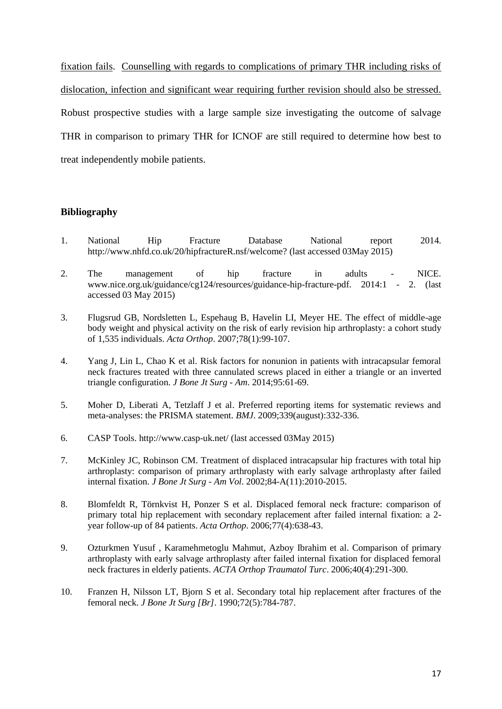fixation fails. Counselling with regards to complications of primary THR including risks of dislocation, infection and significant wear requiring further revision should also be stressed. Robust prospective studies with a large sample size investigating the outcome of salvage THR in comparison to primary THR for ICNOF are still required to determine how best to treat independently mobile patients.

#### **Bibliography**

- 1. National Hip Fracture Database National report 2014. http://www.nhfd.co.uk/20/hipfractureR.nsf/welcome? (last accessed 03May 2015)
- 2. The management of hip fracture in adults NICE. www.nice.org.uk/guidance/cg124/resources/guidance-hip-fracture-pdf. 2014:1 - 2. (last accessed 03 May 2015)
- 3. Flugsrud GB, Nordsletten L, Espehaug B, Havelin LI, Meyer HE. The effect of middle-age body weight and physical activity on the risk of early revision hip arthroplasty: a cohort study of 1,535 individuals. *Acta Orthop*. 2007;78(1):99-107.
- 4. Yang J, Lin L, Chao K et al. Risk factors for nonunion in patients with intracapsular femoral neck fractures treated with three cannulated screws placed in either a triangle or an inverted triangle configuration. *J Bone Jt Surg - Am*. 2014;95:61-69.
- 5. Moher D, Liberati A, Tetzlaff J et al. Preferred reporting items for systematic reviews and meta-analyses: the PRISMA statement. *BMJ*. 2009;339(august):332-336.
- 6. CASP Tools. http://www.casp-uk.net/ (last accessed 03May 2015)
- 7. McKinley JC, Robinson CM. Treatment of displaced intracapsular hip fractures with total hip arthroplasty: comparison of primary arthroplasty with early salvage arthroplasty after failed internal fixation. *J Bone Jt Surg - Am Vol*. 2002;84-A(11):2010-2015.
- 8. Blomfeldt R, Törnkvist H, Ponzer S et al. Displaced femoral neck fracture: comparison of primary total hip replacement with secondary replacement after failed internal fixation: a 2 year follow-up of 84 patients. *Acta Orthop*. 2006;77(4):638-43.
- 9. Ozturkmen Yusuf , Karamehmetoglu Mahmut, Azboy Ibrahim et al. Comparison of primary arthroplasty with early salvage arthroplasty after failed internal fixation for displaced femoral neck fractures in elderly patients. *ACTA Orthop Traumatol Turc*. 2006;40(4):291-300.
- 10. Franzen H, Nilsson LT, Bjorn S et al. Secondary total hip replacement after fractures of the femoral neck. *J Bone Jt Surg [Br]*. 1990;72(5):784-787.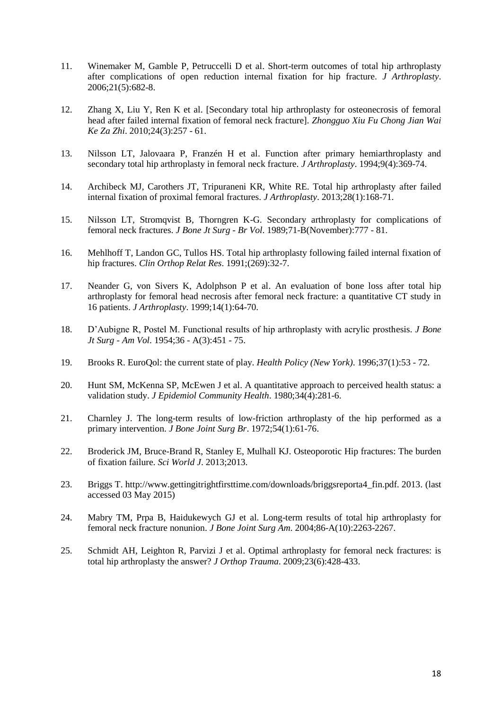- 11. Winemaker M, Gamble P, Petruccelli D et al. Short-term outcomes of total hip arthroplasty after complications of open reduction internal fixation for hip fracture. *J Arthroplasty*. 2006;21(5):682-8.
- 12. Zhang X, Liu Y, Ren K et al. [Secondary total hip arthroplasty for osteonecrosis of femoral head after failed internal fixation of femoral neck fracture]. *Zhongguo Xiu Fu Chong Jian Wai Ke Za Zhi*. 2010;24(3):257 - 61.
- 13. Nilsson LT, Jalovaara P, Franzén H et al. Function after primary hemiarthroplasty and secondary total hip arthroplasty in femoral neck fracture. *J Arthroplasty*. 1994;9(4):369-74.
- 14. Archibeck MJ, Carothers JT, Tripuraneni KR, White RE. Total hip arthroplasty after failed internal fixation of proximal femoral fractures. *J Arthroplasty*. 2013;28(1):168-71.
- 15. Nilsson LT, Stromqvist B, Thorngren K-G. Secondary arthroplasty for complications of femoral neck fractures. *J Bone Jt Surg - Br Vol*. 1989;71-B(November):777 - 81.
- 16. Mehlhoff T, Landon GC, Tullos HS. Total hip arthroplasty following failed internal fixation of hip fractures. *Clin Orthop Relat Res*. 1991;(269):32-7.
- 17. Neander G, von Sivers K, Adolphson P et al. An evaluation of bone loss after total hip arthroplasty for femoral head necrosis after femoral neck fracture: a quantitative CT study in 16 patients. *J Arthroplasty*. 1999;14(1):64-70.
- 18. D'Aubigne R, Postel M. Functional results of hip arthroplasty with acrylic prosthesis. *J Bone Jt Surg - Am Vol*. 1954;36 - A(3):451 - 75.
- 19. Brooks R. EuroQol: the current state of play. *Health Policy (New York)*. 1996;37(1):53 72.
- 20. Hunt SM, McKenna SP, McEwen J et al. A quantitative approach to perceived health status: a validation study. *J Epidemiol Community Health*. 1980;34(4):281-6.
- 21. Charnley J. The long-term results of low-friction arthroplasty of the hip performed as a primary intervention. *J Bone Joint Surg Br*. 1972;54(1):61-76.
- 22. Broderick JM, Bruce-Brand R, Stanley E, Mulhall KJ. Osteoporotic Hip fractures: The burden of fixation failure. *Sci World J*. 2013;2013.
- 23. Briggs T. http://www.gettingitrightfirsttime.com/downloads/briggsreporta4\_fin.pdf. 2013. (last accessed 03 May 2015)
- 24. Mabry TM, Prpa B, Haidukewych GJ et al. Long-term results of total hip arthroplasty for femoral neck fracture nonunion. *J Bone Joint Surg Am*. 2004;86-A(10):2263-2267.
- 25. Schmidt AH, Leighton R, Parvizi J et al. Optimal arthroplasty for femoral neck fractures: is total hip arthroplasty the answer? *J Orthop Trauma*. 2009;23(6):428-433.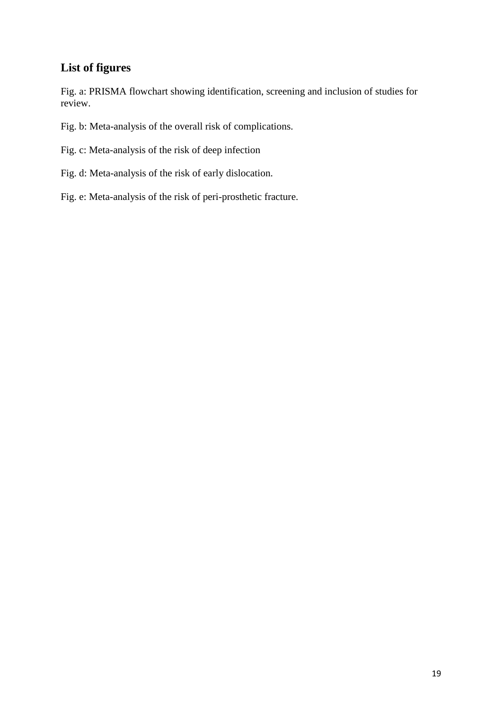# **List of figures**

Fig. a: PRISMA flowchart showing identification, screening and inclusion of studies for review.

Fig. b: Meta-analysis of the overall risk of complications.

Fig. c: Meta-analysis of the risk of deep infection

- Fig. d: Meta-analysis of the risk of early dislocation.
- Fig. e: Meta-analysis of the risk of peri-prosthetic fracture.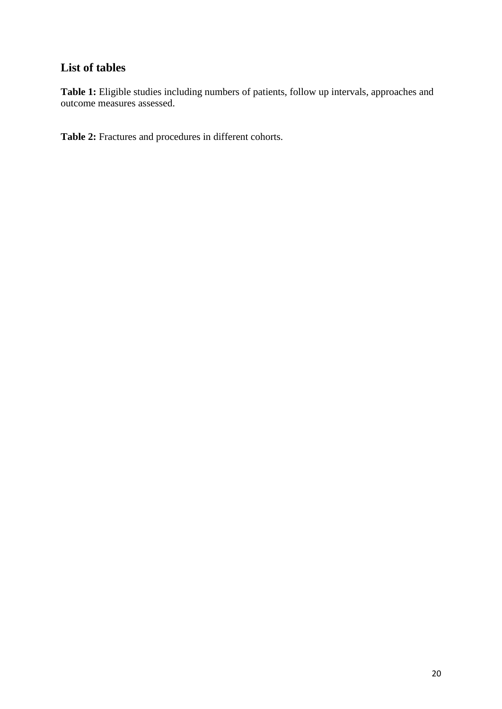# **List of tables**

Table 1: Eligible studies including numbers of patients, follow up intervals, approaches and outcome measures assessed.

**Table 2:** Fractures and procedures in different cohorts.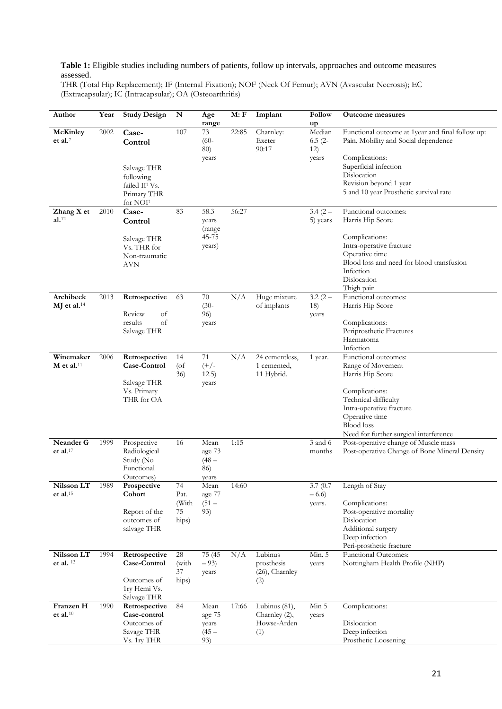#### **Table 1:** Eligible studies including numbers of patients, follow up intervals, approaches and outcome measures assessed.

THR (Total Hip Replacement); IF (Internal Fixation); NOF (Neck Of Femur); AVN (Avascular Necrosis); EC (Extracapsular); IC (Intracapsular); OA (Osteoarthritis)

| Author                                 | Year | <b>Study Design</b>                                                          | N                                  | Age<br>range                               | M: F  | Implant                                                 | Follow<br>up                        | <b>Outcome measures</b>                                                                                                                                                                                                |
|----------------------------------------|------|------------------------------------------------------------------------------|------------------------------------|--------------------------------------------|-------|---------------------------------------------------------|-------------------------------------|------------------------------------------------------------------------------------------------------------------------------------------------------------------------------------------------------------------------|
| McKinley<br>et al. $7$                 | 2002 | Case-<br>Control<br>Salvage THR<br>following<br>failed IF Vs.<br>Primary THR | 107                                | 73<br>$(60 -$<br>80)<br>years              | 22:85 | Charnley:<br>Exeter<br>90:17                            | Median<br>$6.5(2 -$<br>12)<br>years | Functional outcome at 1year and final follow up:<br>Pain, Mobility and Social dependence<br>Complications:<br>Superficial infection<br>Dislocation<br>Revision beyond 1 year<br>5 and 10 year Prosthetic survival rate |
|                                        |      | for NOF                                                                      |                                    |                                            |       |                                                         |                                     |                                                                                                                                                                                                                        |
| Zhang X et<br>$al.$ <sup>12</sup>      | 2010 | Case-<br>Control<br>Salvage THR<br>Vs. THR for<br>Non-traumatic<br>AVN       | 83                                 | 58.3<br>years<br>(range<br>45-75<br>years) | 56:27 |                                                         | $3.4(2 -$<br>5) years               | Functional outcomes:<br>Harris Hip Score<br>Complications:<br>Intra-operative fracture<br>Operative time<br>Blood loss and need for blood transfusion<br>Infection<br>Dislocation                                      |
|                                        |      |                                                                              |                                    |                                            |       |                                                         |                                     | Thigh pain                                                                                                                                                                                                             |
| Archibeck<br>$MJ$ et al. <sup>14</sup> | 2013 | Retrospective<br>Review<br>of<br>of<br>results<br>Salvage THR                | 63                                 | 70<br>$(30-$<br>96)<br>years               | N/A   | Huge mixture<br>of implants                             | $3.2(2 -$<br>18)<br>years           | Functional outcomes:<br>Harris Hip Score<br>Complications:<br>Periprosthetic Fractures<br>Haematoma<br>Infection                                                                                                       |
| Winemaker<br>$M$ et al. <sup>11</sup>  | 2006 | Retrospective<br>Case-Control<br>Salvage THR<br>Vs. Primary<br>THR for OA    | 14<br>$($ of<br>36)                | 71<br>$(+/-$<br>12.5)<br>years             | N/A   | 24 cementless,<br>1 cemented,<br>11 Hybrid.             | 1 year.                             | Functional outcomes:<br>Range of Movement<br>Harris Hip Score<br>Complications:<br>Technical difficulty<br>Intra-operative fracture<br>Operative time<br><b>Blood</b> loss<br>Need for further surgical interference   |
| Neander G<br>et al. $17$               | 1999 | Prospective<br>Radiological<br>Study (No<br>Functional<br>Outcomes)          | 16                                 | Mean<br>age 73<br>$(48 -$<br>86)<br>years  | 1:15  |                                                         | 3 and 6<br>months                   | Post-operative change of Muscle mass<br>Post-operative Change of Bone Mineral Density                                                                                                                                  |
| Nilsson LT<br>et al. $15$              | 1989 | Prospective<br>Cohort<br>Report of the<br>outcomes of<br>salvage THR         | 74<br>Pat.<br>(With<br>75<br>hips) | Mean<br>age 77<br>$(51 -$<br>93)           | 14:60 |                                                         | 3.7(0.7)<br>$-6.6$<br>years.        | Length of Stay<br>Complications:<br>Post-operative mortality<br>Dislocation<br>Additional surgery<br>Deep infection<br>Peri-prosthetic fracture                                                                        |
| Nilsson LT<br>et al. 13                | 1994 | Retrospective<br>Case-Control<br>Outcomes of<br>1ry Hemi Vs.<br>Salvage THR  | 28<br>(with<br>37<br>hips)         | 75 (45<br>$-93)$<br>years                  | N/A   | Lubinus<br>prosthesis<br>(26), Charnley<br>(2)          | Min. 5<br>years                     | Functional Outcomes:<br>Nottingham Health Profile (NHP)                                                                                                                                                                |
| Franzen H<br>et al. $10$               | 1990 | Retrospective<br>Case-control<br>Outcomes of<br>Savage THR<br>Vs. 1ry THR    | 84                                 | Mean<br>age 75<br>years<br>$(45 -$<br>93)  | 17:66 | Lubinus $(81)$ ,<br>Charnley (2),<br>Howse-Arden<br>(1) | Min 5<br>years                      | Complications:<br>Dislocation<br>Deep infection<br>Prosthetic Loosening                                                                                                                                                |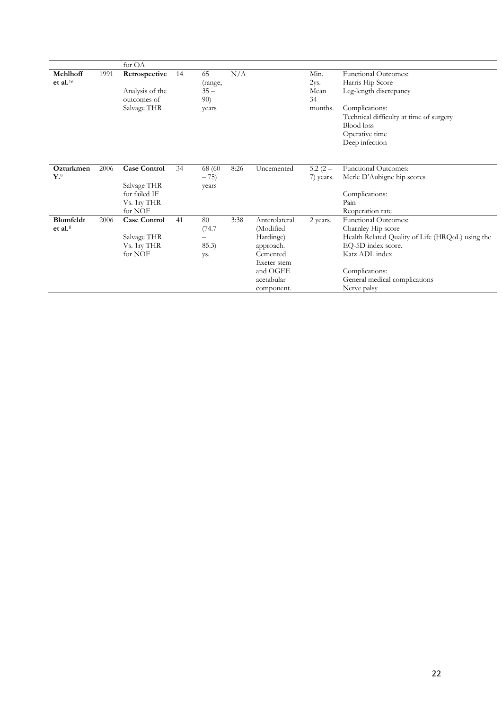|                             |      | for OA              |    |         |      |               |           |                                                  |
|-----------------------------|------|---------------------|----|---------|------|---------------|-----------|--------------------------------------------------|
| Mehlhoff                    | 1991 | Retrospective       | 14 | 65      | N/A  |               | Min.      | <b>Functional Outcomes:</b>                      |
| et al. $16$                 |      |                     |    | (range, |      |               | 2ys.      | Harris Hip Score                                 |
|                             |      | Analysis of the     |    | $35 -$  |      |               | Mean      | Leg-length discrepancy                           |
|                             |      | outcomes of         |    | 90)     |      |               | 34        |                                                  |
|                             |      | Salvage THR         |    | years   |      |               | months.   | Complications:                                   |
|                             |      |                     |    |         |      |               |           | Technical difficulty at time of surgery          |
|                             |      |                     |    |         |      |               |           | <b>Blood</b> loss                                |
|                             |      |                     |    |         |      |               |           | Operative time                                   |
|                             |      |                     |    |         |      |               |           | Deep infection                                   |
|                             |      |                     |    |         |      |               |           |                                                  |
| Ozturkmen                   | 2006 | <b>Case Control</b> | 34 | 68 (60) | 8:26 | Uncemented    | $5.2(2 -$ | Functional Outcomes:                             |
| $\mathbf{Y}$ . <sup>9</sup> |      |                     |    | $-75)$  |      |               | 7) years. | Merle D'Aubigne hip scores                       |
|                             |      | Salvage THR         |    | years   |      |               |           |                                                  |
|                             |      | for failed IF       |    |         |      |               |           | Complications:                                   |
|                             |      | Vs. 1ry THR         |    |         |      |               |           | Pain                                             |
|                             |      | for NOF             |    |         |      |               |           | Reoperation rate                                 |
| Blomfeldt                   | 2006 | <b>Case Control</b> | 41 | 80      | 3:38 | Anterolateral | 2 years.  | <b>Functional Outcomes:</b>                      |
| et al. <sup>8</sup>         |      |                     |    | (74.7   |      | (Modified     |           | Charnley Hip score                               |
|                             |      | Salvage THR         |    |         |      | Hardinge)     |           | Health Related Quality of Life (HRQoL) using the |
|                             |      | Vs. 1ry THR         |    | 85.3)   |      | approach.     |           | EQ-5D index score.                               |
|                             |      | for NOF             |    | ys.     |      | Cemented      |           | Katz ADL index                                   |
|                             |      |                     |    |         |      | Exeter stem   |           |                                                  |
|                             |      |                     |    |         |      | and OGEE      |           | Complications:                                   |
|                             |      |                     |    |         |      | acetabular    |           | General medical complications                    |
|                             |      |                     |    |         |      | component.    |           | Nerve palsy                                      |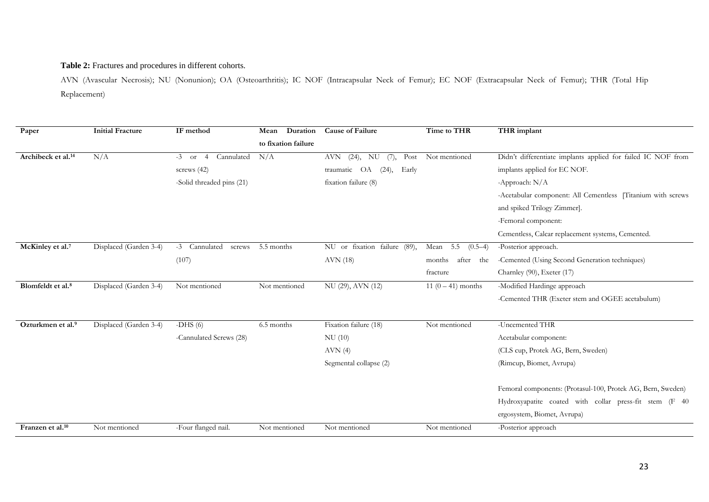#### **Table 2:** Fractures and procedures in different cohorts.

AVN (Avascular Necrosis); NU (Nonunion); OA (Osteoarthritis); IC NOF (Intracapsular Neck of Femur); EC NOF (Extracapsular Neck of Femur); THR (Total Hip Replacement)

| Paper                          | <b>Initial Fracture</b> | IF method                               | Duration<br>Mean    | <b>Cause of Failure</b>            | Time to THR                  | THR implant                                                  |
|--------------------------------|-------------------------|-----------------------------------------|---------------------|------------------------------------|------------------------------|--------------------------------------------------------------|
|                                |                         |                                         | to fixation failure |                                    |                              |                                                              |
| Archibeck et al. <sup>14</sup> | N/A                     | Cannulated<br>$-3$ or<br>$\overline{4}$ | N/A                 | $(24)$ , NU<br>Post<br>AVN<br>(7), | Not mentioned                | Didn't differentiate implants applied for failed IC NOF from |
|                                |                         | screws $(42)$                           |                     | traumatic OA<br>(24),<br>Early     |                              | implants applied for EC NOF.                                 |
|                                |                         | -Solid threaded pins (21)               |                     | fixation failure (8)               |                              | -Approach: N/A                                               |
|                                |                         |                                         |                     |                                    |                              | -Acetabular component: All Cementless [Titanium with screws  |
|                                |                         |                                         |                     |                                    |                              | and spiked Trilogy Zimmer].                                  |
|                                |                         |                                         |                     |                                    |                              | -Femoral component:                                          |
|                                |                         |                                         |                     |                                    |                              | Cementless, Calcar replacement systems, Cemented.            |
| McKinley et al. <sup>7</sup>   | Displaced (Garden 3-4)  | -3 Cannulated<br>screws                 | 5.5 months          | NU or fixation failure (89),       | Mean<br>5.5<br>$(0.5-4)$     | -Posterior approach.                                         |
|                                |                         | (107)                                   |                     | AVN (18)                           | months<br>after<br>the       | -Cemented (Using Second Generation techniques)               |
|                                |                         |                                         |                     |                                    | fracture                     | Charnley (90), Exeter (17)                                   |
| Blomfeldt et al. <sup>8</sup>  | Displaced (Garden 3-4)  | Not mentioned                           | Not mentioned       | NU (29), AVN (12)                  | $\overline{11(0-41)}$ months | -Modified Hardinge approach                                  |
|                                |                         |                                         |                     |                                    |                              | -Cemented THR (Exeter stem and OGEE acetabulum)              |
|                                |                         |                                         |                     |                                    |                              |                                                              |
| Ozturkmen et al.9              | Displaced (Garden 3-4)  | $-DHS(6)$                               | 6.5 months          | Fixation failure (18)              | Not mentioned                | -Uncemented THR                                              |
|                                |                         | -Cannulated Screws (28)                 |                     | NU (10)                            |                              | Acetabular component:                                        |
|                                |                         |                                         |                     | AVN(4)                             |                              | (CLS cup, Protek AG, Bern, Sweden)                           |
|                                |                         |                                         |                     | Segmental collapse (2)             |                              | (Rimcup, Biomet, Avrupa)                                     |
|                                |                         |                                         |                     |                                    |                              | Femoral components: (Protasul-100, Protek AG, Bern, Sweden)  |
|                                |                         |                                         |                     |                                    |                              | Hydroxyapatite coated with collar press-fit stem (F 40       |
|                                |                         |                                         |                     |                                    |                              | ergosystem, Biomet, Avrupa)                                  |
| Franzen et al. <sup>10</sup>   | Not mentioned           | -Four flanged nail.                     | Not mentioned       | Not mentioned                      | Not mentioned                | -Posterior approach                                          |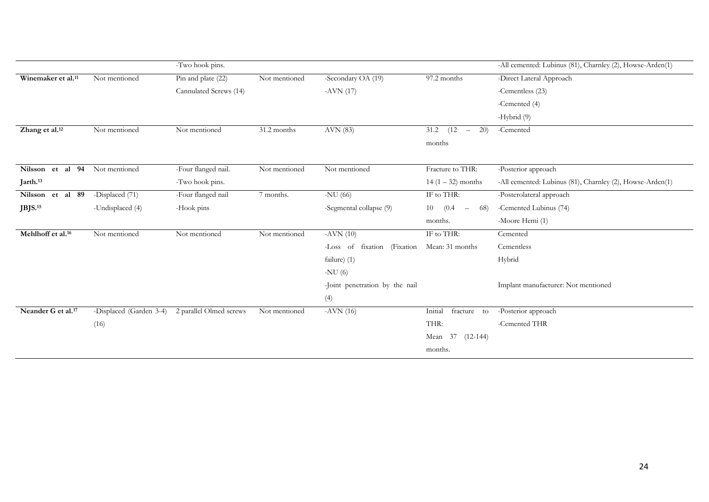|                                |                         | -Two hook pins.         |               |                                |                                                 | -All cemented: Lubinus (81), Charnley (2), Howse-Arden(1) |
|--------------------------------|-------------------------|-------------------------|---------------|--------------------------------|-------------------------------------------------|-----------------------------------------------------------|
| Winemaker et al. <sup>11</sup> | Not mentioned           | Pin and plate (22)      | Not mentioned | -Secondary OA (19)             | $\overline{97.2}$ months                        | -Direct Lateral Approach                                  |
|                                |                         | Cannulated Screws (14)  |               | $-AVN(17)$                     |                                                 | -Cementless (23)                                          |
|                                |                         |                         |               |                                |                                                 | -Cemented (4)                                             |
|                                |                         |                         |               |                                |                                                 | -Hybrid (9)                                               |
| Zhang et al. <sup>12</sup>     | Not mentioned           | Not mentioned           | 31.2 months   | AVN (83)                       | 31.2<br>(12)<br>20)<br>$\overline{\phantom{a}}$ | -Cemented                                                 |
|                                |                         |                         |               |                                | months                                          |                                                           |
|                                |                         |                         |               |                                |                                                 |                                                           |
| al 94<br>Nilsson et            | Not mentioned           | -Four flanged nail.     | Not mentioned | Not mentioned                  | Fracture to THR:                                | -Posterior approach                                       |
| Jarth. <sup>13</sup>           |                         | -Two hook pins.         |               |                                | $14(1 - 32)$ months                             | -All cemented: Lubinus (81), Charnley (2), Howse-Arden(1) |
| Nilsson et al 89               | -Displaced (71)         | -Four flanged nail      | 7 months.     | -NU $(66)$                     | IF to THR:                                      | -Posterolateral approach                                  |
| $J$ BJS. <sup>15</sup>         | -Undisplaced (4)        | -Hook pins              |               | -Segmental collapse (9)        | (0.4)<br>10<br>68)<br>$\overline{\phantom{m}}$  | -Cemented Lubinus (74)                                    |
|                                |                         |                         |               |                                | months.                                         | -Moore Hemi (1)                                           |
| Mehlhoff et al. <sup>16</sup>  | Not mentioned           | Not mentioned           | Not mentioned | $-AVN(10)$                     | IF to THR:                                      | Cemented                                                  |
|                                |                         |                         |               | -Loss of fixation (Fixation    | Mean: 31 months                                 | Cementless                                                |
|                                |                         |                         |               | failure) (1)                   |                                                 | Hybrid                                                    |
|                                |                         |                         |               | -NU $(6)$                      |                                                 |                                                           |
|                                |                         |                         |               | -Joint penetration by the nail |                                                 | Implant manufacturer: Not mentioned                       |
|                                |                         |                         |               | (4)                            |                                                 |                                                           |
| Neander G et al. <sup>17</sup> | -Displaced (Garden 3-4) | 2 parallel Olmed screws | Not mentioned | $-AVN(16)$                     | Initial<br>fracture<br>to                       | -Posterior approach                                       |
|                                | (16)                    |                         |               |                                | THR:                                            | -Cemented THR                                             |
|                                |                         |                         |               |                                | Mean 37 (12-144)                                |                                                           |
|                                |                         |                         |               |                                | months.                                         |                                                           |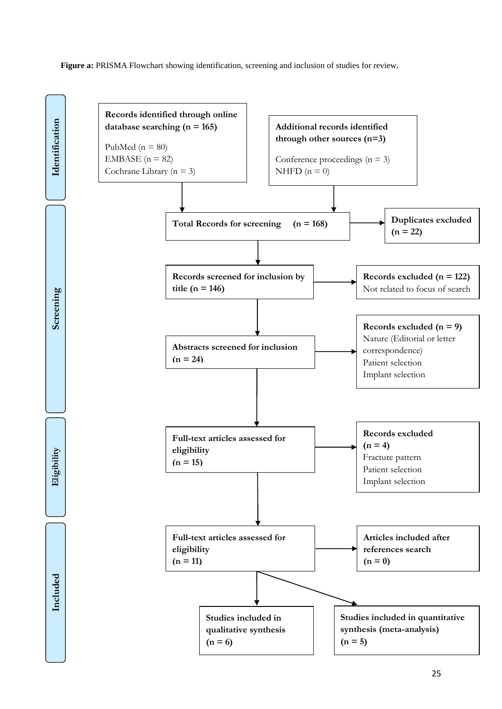**Figure a:** PRISMA Flowchart showing identification, screening and inclusion of studies for review.